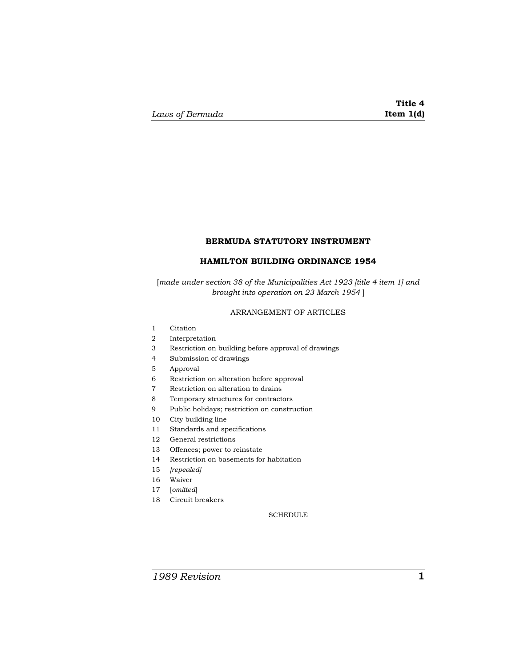# **BERMUDA STATUTORY INSTRUMENT**

# **HAMILTON BUILDING ORDINANCE 1954**

[*made under section 38 of the Municipalities Act 1923 [title 4 item 1] and brought into operation on 23 March 1954* ]

# ARRANGEMENT OF ARTICLES

- Citation
- Interpretation
- Restriction on building before approval of drawings
- Submission of drawings
- Approval
- Restriction on alteration before approval
- Restriction on alteration to drains
- Temporary structures for contractors
- Public holidays; restriction on construction
- City building line
- Standards and specifications
- General restrictions
- Offences; power to reinstate
- Restriction on basements for habitation
- *[repealed]*
- Waiver
- [*omitted*]
- Circuit breakers

**SCHEDULE**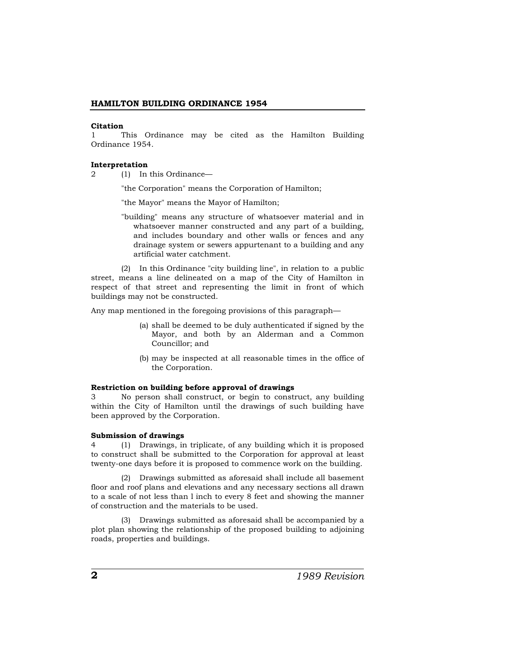#### **Citation**

1 This Ordinance may be cited as the Hamilton Building Ordinance 1954.

#### **Interpretation**

2 (1) In this Ordinance—

"the Corporation" means the Corporation of Hamilton;

"the Mayor" means the Mayor of Hamilton;

"building" means any structure of whatsoever material and in whatsoever manner constructed and any part of a building, and includes boundary and other walls or fences and any drainage system or sewers appurtenant to a building and any artificial water catchment.

(2) In this Ordinance "city building line", in relation to a public street, means a line delineated on a map of the City of Hamilton in respect of that street and representing the limit in front of which buildings may not be constructed.

Any map mentioned in the foregoing provisions of this paragraph—

- (a) shall be deemed to be duly authenticated if signed by the Mayor, and both by an Alderman and a Common Councillor; and
- (b) may be inspected at all reasonable times in the office of the Corporation.

#### **Restriction on building before approval of drawings**

3 No person shall construct, or begin to construct, any building within the City of Hamilton until the drawings of such building have been approved by the Corporation.

#### **Submission of drawings**

4 (1) Drawings, in triplicate, of any building which it is proposed to construct shall be submitted to the Corporation for approval at least twenty-one days before it is proposed to commence work on the building.

(2) Drawings submitted as aforesaid shall include all basement floor and roof plans and elevations and any necessary sections all drawn to a scale of not less than l inch to every 8 feet and showing the manner of construction and the materials to be used.

(3) Drawings submitted as aforesaid shall be accompanied by a plot plan showing the relationship of the proposed building to adjoining roads, properties and buildings.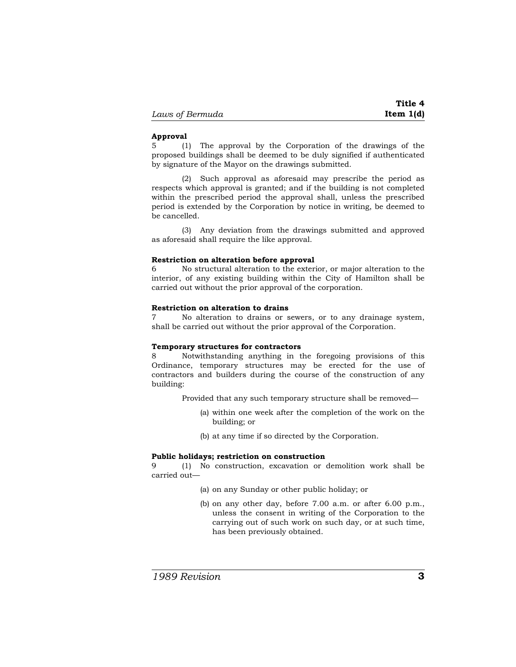#### **Approval**

5 (1) The approval by the Corporation of the drawings of the proposed buildings shall be deemed to be duly signified if authenticated by signature of the Mayor on the drawings submitted.

(2) Such approval as aforesaid may prescribe the period as respects which approval is granted; and if the building is not completed within the prescribed period the approval shall, unless the prescribed period is extended by the Corporation by notice in writing, be deemed to be cancelled.

(3) Any deviation from the drawings submitted and approved as aforesaid shall require the like approval.

### **Restriction on alteration before approval**

6 No structural alteration to the exterior, or major alteration to the interior, of any existing building within the City of Hamilton shall be carried out without the prior approval of the corporation.

### **Restriction on alteration to drains**

7 No alteration to drains or sewers, or to any drainage system, shall be carried out without the prior approval of the Corporation.

#### **Temporary structures for contractors**

8 Notwithstanding anything in the foregoing provisions of this Ordinance, temporary structures may be erected for the use of contractors and builders during the course of the construction of any building:

Provided that any such temporary structure shall be removed—

- (a) within one week after the completion of the work on the building; or
- (b) at any time if so directed by the Corporation.

#### **Public holidays; restriction on construction**

9 (1) No construction, excavation or demolition work shall be carried out—

- (a) on any Sunday or other public holiday; or
- (b) on any other day, before 7.00 a.m. or after 6.00 p.m., unless the consent in writing of the Corporation to the carrying out of such work on such day, or at such time, has been previously obtained.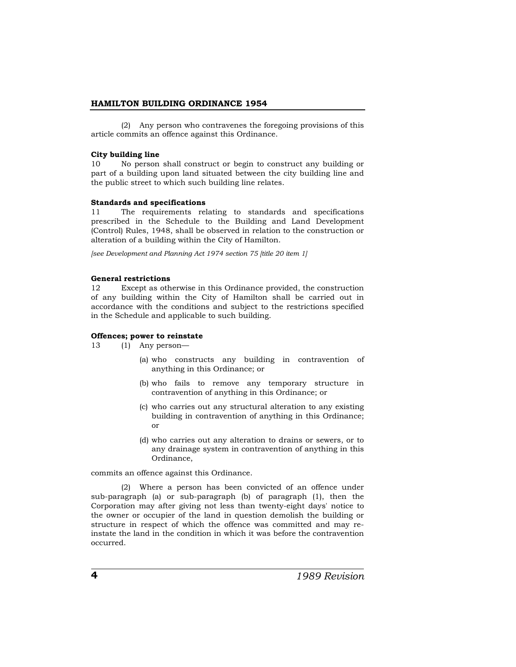(2) Any person who contravenes the foregoing provisions of this article commits an offence against this Ordinance.

### **City building line**

10 No person shall construct or begin to construct any building or part of a building upon land situated between the city building line and the public street to which such building line relates.

# **Standards and specifications**

11 The requirements relating to standards and specifications prescribed in the Schedule to the Building and Land Development (Control) Rules, 1948, shall be observed in relation to the construction or alteration of a building within the City of Hamilton.

*[see Development and Planning Act 1974 section 75 [title 20 item 1]*

# **General restrictions**

12 Except as otherwise in this Ordinance provided, the construction of any building within the City of Hamilton shall be carried out in accordance with the conditions and subject to the restrictions specified in the Schedule and applicable to such building.

# **Offences; power to reinstate**

13 (1) Any person—

- (a) who constructs any building in contravention of anything in this Ordinance; or
- (b) who fails to remove any temporary structure in contravention of anything in this Ordinance; or
- (c) who carries out any structural alteration to any existing building in contravention of anything in this Ordinance; or
- (d) who carries out any alteration to drains or sewers, or to any drainage system in contravention of anything in this Ordinance,

commits an offence against this Ordinance.

(2) Where a person has been convicted of an offence under sub-paragraph (a) or sub-paragraph (b) of paragraph (1), then the Corporation may after giving not less than twenty-eight days' notice to the owner or occupier of the land in question demolish the building or structure in respect of which the offence was committed and may reinstate the land in the condition in which it was before the contravention occurred.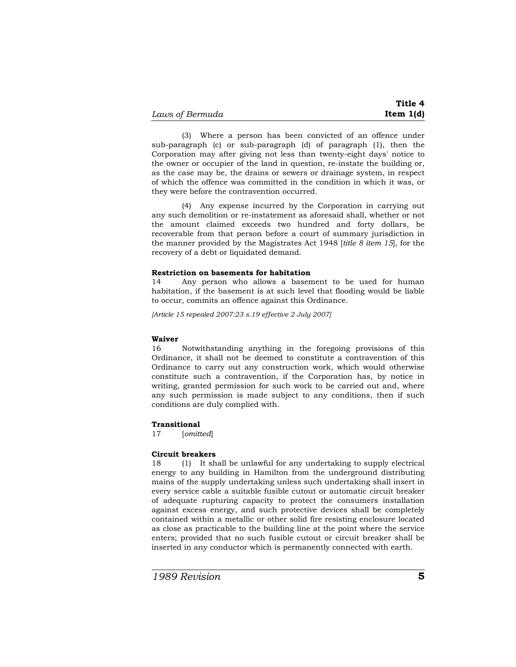(3) Where a person has been convicted of an offence under sub-paragraph (c) or sub-paragraph (d) of paragraph (1), then the Corporation may after giving not less than twenty-eight days' notice to the owner or occupier of the land in question, re-instate the building or, as the case may be, the drains or sewers or drainage system, in respect of which the offence was committed in the condition in which it was, or they were before the contravention occurred.

(4) Any expense incurred by the Corporation in carrying out any such demolition or re-instatement as aforesaid shall, whether or not the amount claimed exceeds two hundred and forty dollars, be recoverable from that person before a court of summary jurisdiction in the manner provided by the Magistrates Act 1948 [*title 8 item 15*], for the recovery of a debt or liquidated demand.

### **Restriction on basements for habitation**

14 Any person who allows a basement to be used for human habitation, if the basement is at such level that flooding would be liable to occur, commits an offence against this Ordinance.

*[Article 15 repealed 2007:23 s.19 effective 2 July 2007]*

### **Waiver**

16 Notwithstanding anything in the foregoing provisions of this Ordinance, it shall not be deemed to constitute a contravention of this Ordinance to carry out any construction work, which would otherwise constitute such a contravention, if the Corporation has, by notice in writing, granted permission for such work to be carried out and, where any such permission is made subject to any conditions, then if such conditions are duly complied with.

# **Transitional**

17 [*omitted*]

# **Circuit breakers**

18 (1) It shall be unlawful for any undertaking to supply electrical energy to any building in Hamilton from the underground distributing mains of the supply undertaking unless such undertaking shall insert in every service cable a suitable fusible cutout or automatic circuit breaker of adequate rupturing capacity to protect the consumers installation against excess energy, and such protective devices shall be completely contained within a metallic or other solid fire resisting enclosure located as close as practicable to the building line at the point where the service enters; provided that no such fusible cutout or circuit breaker shall be inserted in any conductor which is permanently connected with earth.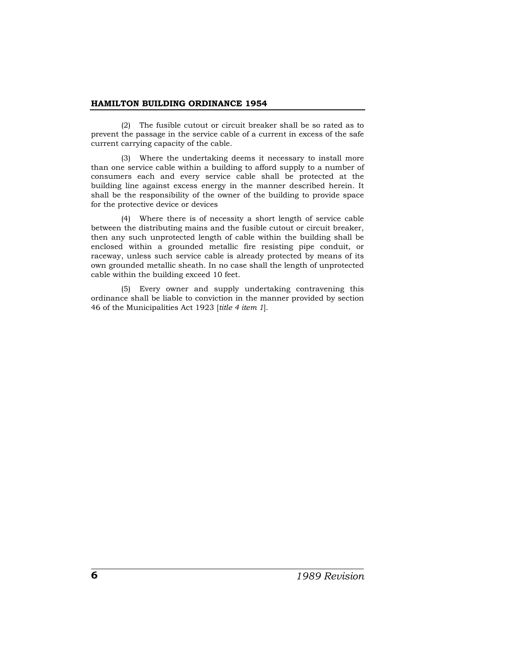(2) The fusible cutout or circuit breaker shall be so rated as to prevent the passage in the service cable of a current in excess of the safe current carrying capacity of the cable.

(3) Where the undertaking deems it necessary to install more than one service cable within a building to afford supply to a number of consumers each and every service cable shall be protected at the building line against excess energy in the manner described herein. It shall be the responsibility of the owner of the building to provide space for the protective device or devices

(4) Where there is of necessity a short length of service cable between the distributing mains and the fusible cutout or circuit breaker, then any such unprotected length of cable within the building shall be enclosed within a grounded metallic fire resisting pipe conduit, or raceway, unless such service cable is already protected by means of its own grounded metallic sheath. In no case shall the length of unprotected cable within the building exceed 10 feet.

(5) Every owner and supply undertaking contravening this ordinance shall be liable to conviction in the manner provided by section 46 of the Municipalities Act 1923 [*title 4 item 1*].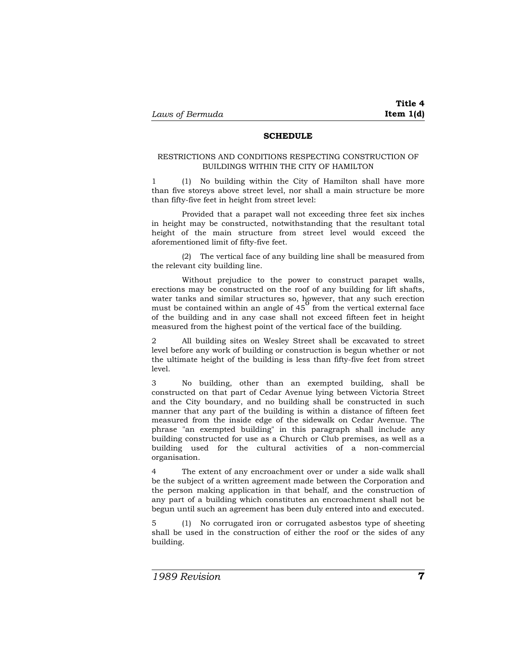### **SCHEDULE**

### RESTRICTIONS AND CONDITIONS RESPECTING CONSTRUCTION OF BUILDINGS WITHIN THE CITY OF HAMILTON

1 (1) No building within the City of Hamilton shall have more than five storeys above street level, nor shall a main structure be more than fifty-five feet in height from street level:

Provided that a parapet wall not exceeding three feet six inches in height may be constructed, notwithstanding that the resultant total height of the main structure from street level would exceed the aforementioned limit of fifty-five feet.

(2) The vertical face of any building line shall be measured from the relevant city building line.

Without prejudice to the power to construct parapet walls, erections may be constructed on the roof of any building for lift shafts, water tanks and similar structures so, however, that any such erection must be contained within an angle of  $45^{\circ}$  from the vertical external face of the building and in any case shall not exceed fifteen feet in height measured from the highest point of the vertical face of the building.

2 All building sites on Wesley Street shall be excavated to street level before any work of building or construction is begun whether or not the ultimate height of the building is less than fifty-five feet from street level.

3 No building, other than an exempted building, shall be constructed on that part of Cedar Avenue lying between Victoria Street and the City boundary, and no building shall be constructed in such manner that any part of the building is within a distance of fifteen feet measured from the inside edge of the sidewalk on Cedar Avenue. The phrase "an exempted building" in this paragraph shall include any building constructed for use as a Church or Club premises, as well as a building used for the cultural activities of a non-commercial organisation.

The extent of any encroachment over or under a side walk shall be the subject of a written agreement made between the Corporation and the person making application in that behalf, and the construction of any part of a building which constitutes an encroachment shall not be begun until such an agreement has been duly entered into and executed.

5 (1) No corrugated iron or corrugated asbestos type of sheeting shall be used in the construction of either the roof or the sides of any building.